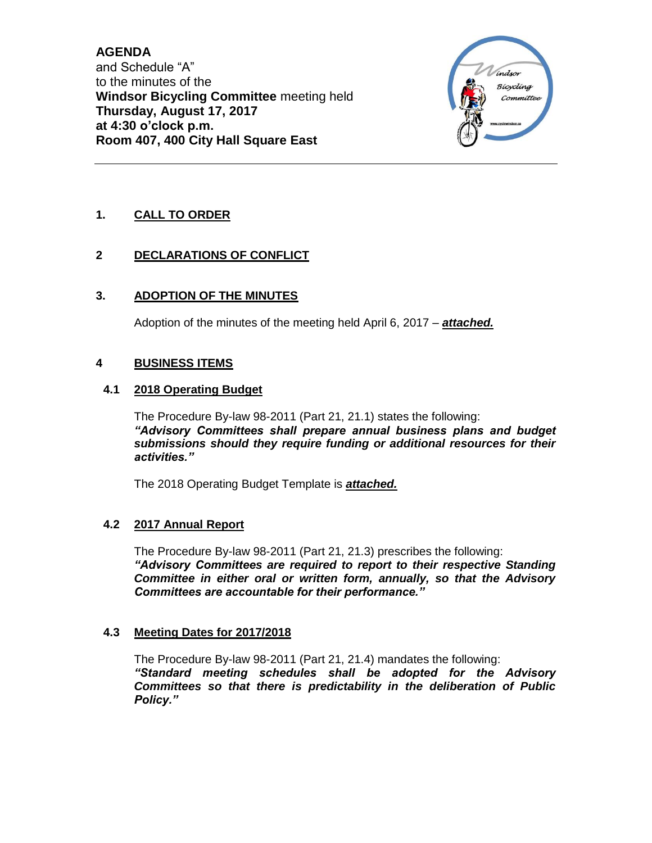**AGENDA** and Schedule "A" to the minutes of the **Windsor Bicycling Committee** meeting held **Thursday, August 17, 2017 at 4:30 o'clock p.m. Room 407, 400 City Hall Square East**



# **1. CALL TO ORDER**

# **2 DECLARATIONS OF CONFLICT**

# **3. ADOPTION OF THE MINUTES**

Adoption of the minutes of the meeting held April 6, 2017 – *attached.*

## **4 BUSINESS ITEMS**

## **4.1 2018 Operating Budget**

The Procedure By-law 98-2011 (Part 21, 21.1) states the following: *"Advisory Committees shall prepare annual business plans and budget submissions should they require funding or additional resources for their activities."*

The 2018 Operating Budget Template is *attached.*

## **4.2 2017 Annual Report**

The Procedure By-law 98-2011 (Part 21, 21.3) prescribes the following: *"Advisory Committees are required to report to their respective Standing Committee in either oral or written form, annually, so that the Advisory Committees are accountable for their performance."*

## **4.3 Meeting Dates for 2017/2018**

The Procedure By-law 98-2011 (Part 21, 21.4) mandates the following: *"Standard meeting schedules shall be adopted for the Advisory Committees so that there is predictability in the deliberation of Public Policy."*